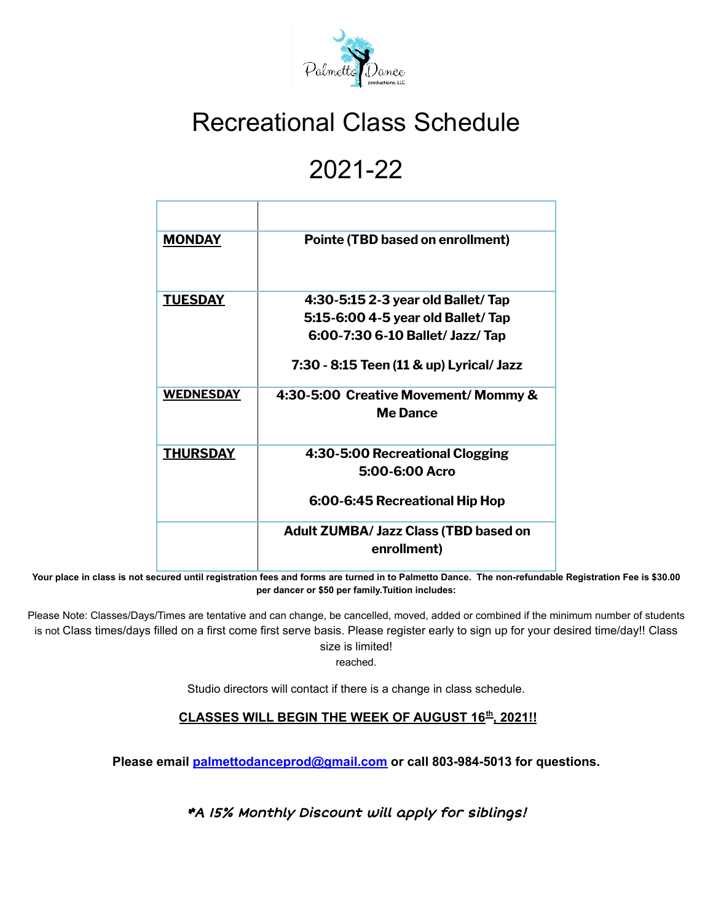

## Recreational Class Schedule

## 2021-22

| <b>MONDAY</b>    | <b>Pointe (TBD based on enrollment)</b>                     |  |  |
|------------------|-------------------------------------------------------------|--|--|
| <b>TUESDAY</b>   | 4:30-5:15 2-3 year old Ballet/ Tap                          |  |  |
|                  | 5:15-6:00 4-5 year old Ballet/Tap                           |  |  |
|                  | 6:00-7:30 6-10 Ballet/ Jazz/ Tap                            |  |  |
|                  | 7:30 - 8:15 Teen (11 & up) Lyrical/ Jazz                    |  |  |
| <b>WEDNESDAY</b> | 4:30-5:00 Creative Movement/ Mommy &<br><b>Me Dance</b>     |  |  |
| <b>THURSDAY</b>  | 4:30-5:00 Recreational Clogging                             |  |  |
|                  | 5:00-6:00 Acro                                              |  |  |
|                  | 6:00-6:45 Recreational Hip Hop                              |  |  |
|                  | <b>Adult ZUMBA/ Jazz Class (TBD based on</b><br>enrollment) |  |  |
|                  |                                                             |  |  |

Your place in class is not secured until registration fees and forms are turned in to Palmetto Dance. The non-refundable Registration Fee is \$30.00 **per dancer or \$50 per family.Tuition includes:**

Please Note: Classes/Days/Times are tentative and can change, be cancelled, moved, added or combined if the minimum number of students is not Class times/days filled on a first come first serve basis. Please register early to sign up for your desired time/day!! Class size is limited!

reached.

Studio directors will contact if there is a change in class schedule.

## **CLASSES WILL BEGIN THE WEEK OF AUGUST 16 th , 2021!!**

**Please email [palmettodanceprod@gmail.com](mailto:palmettodanceprod@gmail.com) or call 803-984-5013 for questions.**

\*A 15% Monthly Discount will apply for siblings!